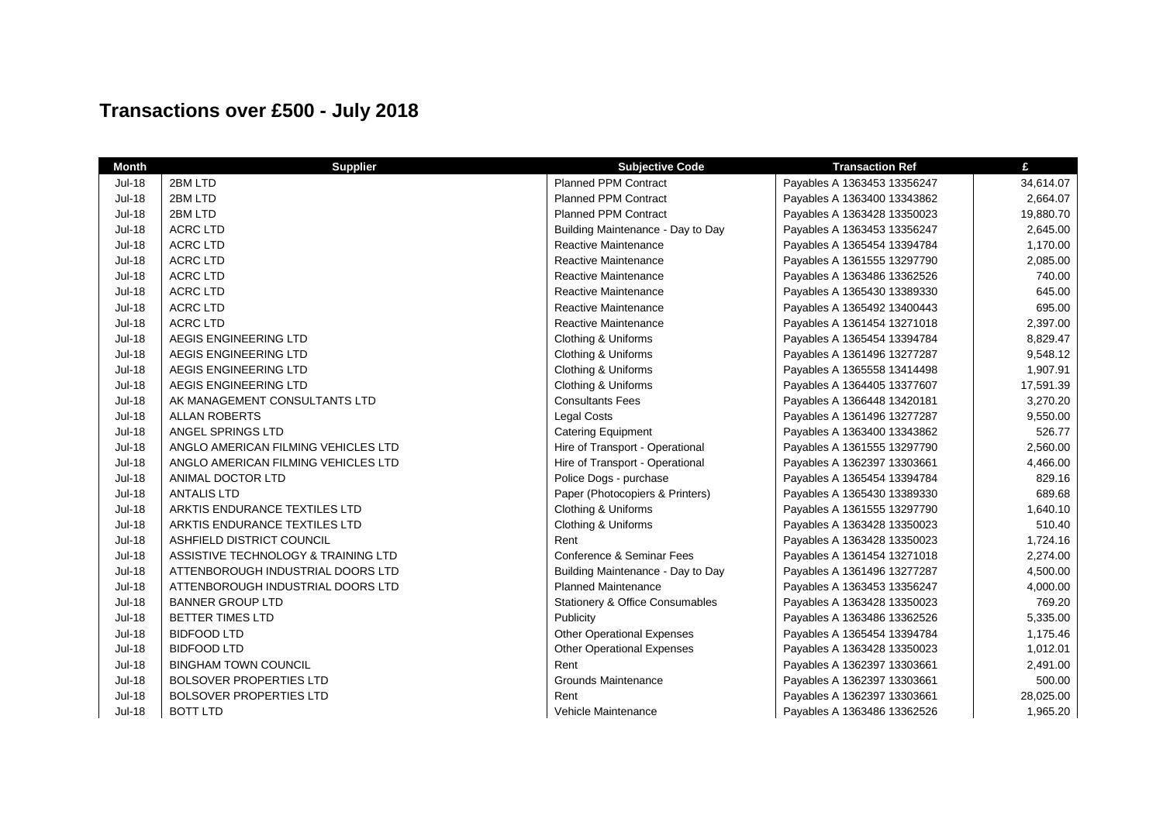## **Transactions over £500 - July 2018**

| <b>Month</b>  | <b>Supplier</b>                     | <b>Subjective Code</b>            | <b>Transaction Ref</b>      | £         |
|---------------|-------------------------------------|-----------------------------------|-----------------------------|-----------|
| <b>Jul-18</b> | 2BM LTD                             | <b>Planned PPM Contract</b>       | Payables A 1363453 13356247 | 34,614.07 |
| <b>Jul-18</b> | 2BM LTD                             | <b>Planned PPM Contract</b>       | Payables A 1363400 13343862 | 2,664.07  |
| Jul-18        | 2BM LTD                             | <b>Planned PPM Contract</b>       | Payables A 1363428 13350023 | 19,880.70 |
| <b>Jul-18</b> | <b>ACRC LTD</b>                     | Building Maintenance - Day to Day | Payables A 1363453 13356247 | 2,645.00  |
| <b>Jul-18</b> | <b>ACRC LTD</b>                     | Reactive Maintenance              | Payables A 1365454 13394784 | 1,170.00  |
| <b>Jul-18</b> | ACRC LTD                            | <b>Reactive Maintenance</b>       | Payables A 1361555 13297790 | 2,085.00  |
| <b>Jul-18</b> | ACRC LTD                            | Reactive Maintenance              | Payables A 1363486 13362526 | 740.00    |
| <b>Jul-18</b> | <b>ACRC LTD</b>                     | Reactive Maintenance              | Payables A 1365430 13389330 | 645.00    |
| <b>Jul-18</b> | <b>ACRC LTD</b>                     | Reactive Maintenance              | Payables A 1365492 13400443 | 695.00    |
| <b>Jul-18</b> | <b>ACRC LTD</b>                     | Reactive Maintenance              | Payables A 1361454 13271018 | 2,397.00  |
| Jul-18        | AEGIS ENGINEERING LTD               | Clothing & Uniforms               | Payables A 1365454 13394784 | 8,829.47  |
| <b>Jul-18</b> | AEGIS ENGINEERING LTD               | Clothing & Uniforms               | Payables A 1361496 13277287 | 9,548.12  |
| <b>Jul-18</b> | AEGIS ENGINEERING LTD               | Clothing & Uniforms               | Payables A 1365558 13414498 | 1,907.91  |
| <b>Jul-18</b> | AEGIS ENGINEERING LTD               | Clothing & Uniforms               | Payables A 1364405 13377607 | 17,591.39 |
| <b>Jul-18</b> | AK MANAGEMENT CONSULTANTS LTD       | <b>Consultants Fees</b>           | Payables A 1366448 13420181 | 3,270.20  |
| <b>Jul-18</b> | <b>ALLAN ROBERTS</b>                | Legal Costs                       | Payables A 1361496 13277287 | 9,550.00  |
| <b>Jul-18</b> | ANGEL SPRINGS LTD                   | <b>Catering Equipment</b>         | Payables A 1363400 13343862 | 526.77    |
| <b>Jul-18</b> | ANGLO AMERICAN FILMING VEHICLES LTD | Hire of Transport - Operational   | Payables A 1361555 13297790 | 2,560.00  |
| Jul-18        | ANGLO AMERICAN FILMING VEHICLES LTD | Hire of Transport - Operational   | Payables A 1362397 13303661 | 4,466.00  |
| Jul-18        | ANIMAL DOCTOR LTD                   | Police Dogs - purchase            | Payables A 1365454 13394784 | 829.16    |
| <b>Jul-18</b> | <b>ANTALIS LTD</b>                  | Paper (Photocopiers & Printers)   | Payables A 1365430 13389330 | 689.68    |
| <b>Jul-18</b> | ARKTIS ENDURANCE TEXTILES LTD       | Clothing & Uniforms               | Payables A 1361555 13297790 | 1,640.10  |
| <b>Jul-18</b> | ARKTIS ENDURANCE TEXTILES LTD       | Clothing & Uniforms               | Payables A 1363428 13350023 | 510.40    |
| <b>Jul-18</b> | ASHFIELD DISTRICT COUNCIL           | Rent                              | Payables A 1363428 13350023 | 1,724.16  |
| <b>Jul-18</b> | ASSISTIVE TECHNOLOGY & TRAINING LTD | Conference & Seminar Fees         | Payables A 1361454 13271018 | 2,274.00  |
| <b>Jul-18</b> | ATTENBOROUGH INDUSTRIAL DOORS LTD   | Building Maintenance - Day to Day | Payables A 1361496 13277287 | 4,500.00  |
| <b>Jul-18</b> | ATTENBOROUGH INDUSTRIAL DOORS LTD   | <b>Planned Maintenance</b>        | Payables A 1363453 13356247 | 4,000.00  |
| <b>Jul-18</b> | <b>BANNER GROUP LTD</b>             | Stationery & Office Consumables   | Payables A 1363428 13350023 | 769.20    |
| <b>Jul-18</b> | <b>BETTER TIMES LTD</b>             | Publicity                         | Payables A 1363486 13362526 | 5,335.00  |
| <b>Jul-18</b> | <b>BIDFOOD LTD</b>                  | <b>Other Operational Expenses</b> | Payables A 1365454 13394784 | 1,175.46  |
| <b>Jul-18</b> | <b>BIDFOOD LTD</b>                  | <b>Other Operational Expenses</b> | Payables A 1363428 13350023 | 1,012.01  |
| Jul-18        | <b>BINGHAM TOWN COUNCIL</b>         | Rent                              | Payables A 1362397 13303661 | 2,491.00  |
| Jul-18        | <b>BOLSOVER PROPERTIES LTD</b>      | <b>Grounds Maintenance</b>        | Payables A 1362397 13303661 | 500.00    |
| Jul-18        | <b>BOLSOVER PROPERTIES LTD</b>      | Rent                              | Payables A 1362397 13303661 | 28,025.00 |
| <b>Jul-18</b> | <b>BOTT LTD</b>                     | Vehicle Maintenance               | Payables A 1363486 13362526 | 1,965.20  |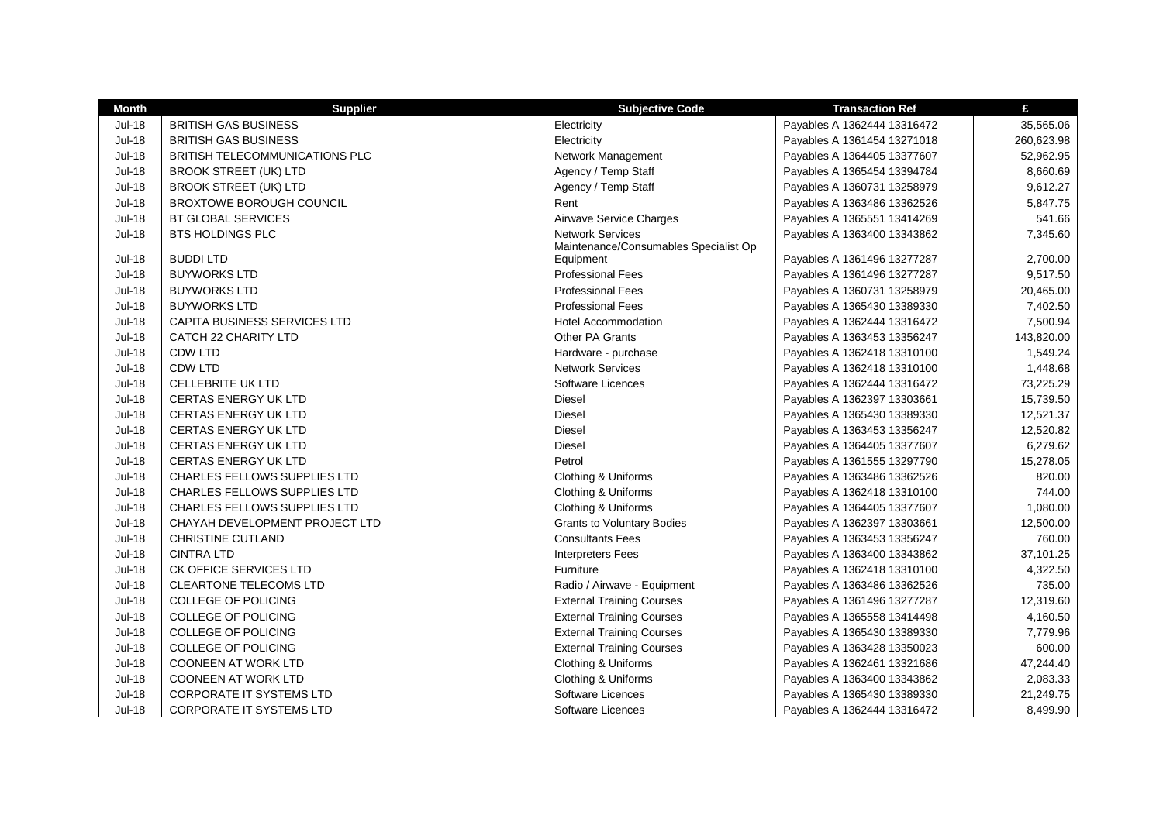| <b>Month</b>  | <b>Supplier</b>                     | <b>Subjective Code</b>                                           | <b>Transaction Ref</b>      | £          |
|---------------|-------------------------------------|------------------------------------------------------------------|-----------------------------|------------|
| <b>Jul-18</b> | <b>BRITISH GAS BUSINESS</b>         | Electricity                                                      | Payables A 1362444 13316472 | 35,565.06  |
| $Jul-18$      | <b>BRITISH GAS BUSINESS</b>         | Electricity                                                      | Payables A 1361454 13271018 | 260,623.98 |
| <b>Jul-18</b> | BRITISH TELECOMMUNICATIONS PLC      | Network Management                                               | Payables A 1364405 13377607 | 52,962.95  |
| <b>Jul-18</b> | <b>BROOK STREET (UK) LTD</b>        | Agency / Temp Staff                                              | Payables A 1365454 13394784 | 8,660.69   |
| <b>Jul-18</b> | <b>BROOK STREET (UK) LTD</b>        | Agency / Temp Staff                                              | Payables A 1360731 13258979 | 9,612.27   |
| <b>Jul-18</b> | <b>BROXTOWE BOROUGH COUNCIL</b>     | Rent                                                             | Payables A 1363486 13362526 | 5,847.75   |
| <b>Jul-18</b> | BT GLOBAL SERVICES                  | Airwave Service Charges                                          | Payables A 1365551 13414269 | 541.66     |
| <b>Jul-18</b> | <b>BTS HOLDINGS PLC</b>             | <b>Network Services</b><br>Maintenance/Consumables Specialist Op | Payables A 1363400 13343862 | 7,345.60   |
| <b>Jul-18</b> | <b>BUDDILTD</b>                     | Equipment                                                        | Payables A 1361496 13277287 | 2,700.00   |
| <b>Jul-18</b> | <b>BUYWORKS LTD</b>                 | <b>Professional Fees</b>                                         | Payables A 1361496 13277287 | 9,517.50   |
| <b>Jul-18</b> | <b>BUYWORKS LTD</b>                 | <b>Professional Fees</b>                                         | Payables A 1360731 13258979 | 20,465.00  |
| <b>Jul-18</b> | <b>BUYWORKS LTD</b>                 | <b>Professional Fees</b>                                         | Payables A 1365430 13389330 | 7,402.50   |
| <b>Jul-18</b> | CAPITA BUSINESS SERVICES LTD        | <b>Hotel Accommodation</b>                                       | Payables A 1362444 13316472 | 7,500.94   |
| <b>Jul-18</b> | CATCH 22 CHARITY LTD                | <b>Other PA Grants</b>                                           | Payables A 1363453 13356247 | 143,820.00 |
| <b>Jul-18</b> | <b>CDW LTD</b>                      | Hardware - purchase                                              | Payables A 1362418 13310100 | 1,549.24   |
| <b>Jul-18</b> | <b>CDW LTD</b>                      | <b>Network Services</b>                                          | Payables A 1362418 13310100 | 1,448.68   |
| <b>Jul-18</b> | <b>CELLEBRITE UK LTD</b>            | Software Licences                                                | Payables A 1362444 13316472 | 73,225.29  |
| <b>Jul-18</b> | <b>CERTAS ENERGY UK LTD</b>         | <b>Diesel</b>                                                    | Payables A 1362397 13303661 | 15,739.50  |
| <b>Jul-18</b> | <b>CERTAS ENERGY UK LTD</b>         | <b>Diesel</b>                                                    | Payables A 1365430 13389330 | 12,521.37  |
| <b>Jul-18</b> | <b>CERTAS ENERGY UK LTD</b>         | Diesel                                                           | Payables A 1363453 13356247 | 12,520.82  |
| <b>Jul-18</b> | <b>CERTAS ENERGY UK LTD</b>         | Diesel                                                           | Payables A 1364405 13377607 | 6,279.62   |
| <b>Jul-18</b> | <b>CERTAS ENERGY UK LTD</b>         | Petrol                                                           | Payables A 1361555 13297790 | 15,278.05  |
| <b>Jul-18</b> | <b>CHARLES FELLOWS SUPPLIES LTD</b> | Clothing & Uniforms                                              | Payables A 1363486 13362526 | 820.00     |
| <b>Jul-18</b> | <b>CHARLES FELLOWS SUPPLIES LTD</b> | Clothing & Uniforms                                              | Payables A 1362418 13310100 | 744.00     |
| <b>Jul-18</b> | CHARLES FELLOWS SUPPLIES LTD        | Clothing & Uniforms                                              | Payables A 1364405 13377607 | 1,080.00   |
| <b>Jul-18</b> | CHAYAH DEVELOPMENT PROJECT LTD      | <b>Grants to Voluntary Bodies</b>                                | Payables A 1362397 13303661 | 12,500.00  |
| <b>Jul-18</b> | <b>CHRISTINE CUTLAND</b>            | <b>Consultants Fees</b>                                          | Payables A 1363453 13356247 | 760.00     |
| <b>Jul-18</b> | <b>CINTRA LTD</b>                   | <b>Interpreters Fees</b>                                         | Payables A 1363400 13343862 | 37,101.25  |
| <b>Jul-18</b> | CK OFFICE SERVICES LTD              | Furniture                                                        | Payables A 1362418 13310100 | 4,322.50   |
| <b>Jul-18</b> | <b>CLEARTONE TELECOMS LTD</b>       | Radio / Airwave - Equipment                                      | Payables A 1363486 13362526 | 735.00     |
| <b>Jul-18</b> | <b>COLLEGE OF POLICING</b>          | <b>External Training Courses</b>                                 | Payables A 1361496 13277287 | 12,319.60  |
| <b>Jul-18</b> | <b>COLLEGE OF POLICING</b>          | <b>External Training Courses</b>                                 | Payables A 1365558 13414498 | 4,160.50   |
| <b>Jul-18</b> | <b>COLLEGE OF POLICING</b>          | <b>External Training Courses</b>                                 | Payables A 1365430 13389330 | 7,779.96   |
| <b>Jul-18</b> | <b>COLLEGE OF POLICING</b>          | <b>External Training Courses</b>                                 | Payables A 1363428 13350023 | 600.00     |
| <b>Jul-18</b> | <b>COONEEN AT WORK LTD</b>          | Clothing & Uniforms                                              | Payables A 1362461 13321686 | 47,244.40  |
| <b>Jul-18</b> | <b>COONEEN AT WORK LTD</b>          | Clothing & Uniforms                                              | Payables A 1363400 13343862 | 2,083.33   |
| <b>Jul-18</b> | <b>CORPORATE IT SYSTEMS LTD</b>     | Software Licences                                                | Payables A 1365430 13389330 | 21,249.75  |
| <b>Jul-18</b> | <b>CORPORATE IT SYSTEMS LTD</b>     | Software Licences                                                | Payables A 1362444 13316472 | 8,499.90   |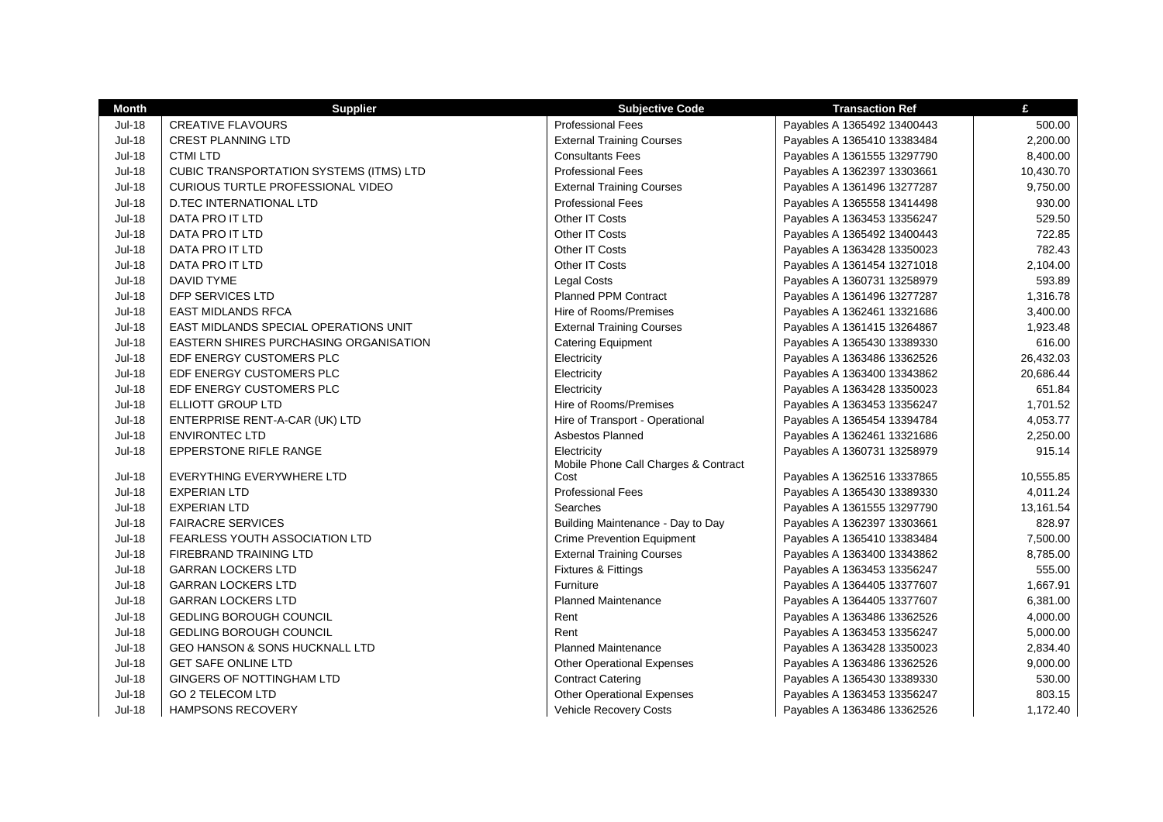| <b>Month</b>  | <b>Supplier</b>                                | <b>Subjective Code</b>               | <b>Transaction Ref</b>      | £         |
|---------------|------------------------------------------------|--------------------------------------|-----------------------------|-----------|
| <b>Jul-18</b> | <b>CREATIVE FLAVOURS</b>                       | <b>Professional Fees</b>             | Payables A 1365492 13400443 | 500.00    |
| <b>Jul-18</b> | <b>CREST PLANNING LTD</b>                      | <b>External Training Courses</b>     | Payables A 1365410 13383484 | 2,200.00  |
| $Jul-18$      | <b>CTMI LTD</b>                                | <b>Consultants Fees</b>              | Payables A 1361555 13297790 | 8,400.00  |
| <b>Jul-18</b> | <b>CUBIC TRANSPORTATION SYSTEMS (ITMS) LTD</b> | <b>Professional Fees</b>             | Payables A 1362397 13303661 | 10,430.70 |
| <b>Jul-18</b> | CURIOUS TURTLE PROFESSIONAL VIDEO              | <b>External Training Courses</b>     | Payables A 1361496 13277287 | 9,750.00  |
| <b>Jul-18</b> | D.TEC INTERNATIONAL LTD                        | <b>Professional Fees</b>             | Payables A 1365558 13414498 | 930.00    |
| <b>Jul-18</b> | DATA PRO IT LTD                                | Other IT Costs                       | Payables A 1363453 13356247 | 529.50    |
| <b>Jul-18</b> | DATA PRO IT LTD                                | Other IT Costs                       | Payables A 1365492 13400443 | 722.85    |
| <b>Jul-18</b> | DATA PRO IT LTD                                | Other IT Costs                       | Payables A 1363428 13350023 | 782.43    |
| <b>Jul-18</b> | DATA PRO IT LTD                                | Other IT Costs                       | Payables A 1361454 13271018 | 2,104.00  |
| <b>Jul-18</b> | DAVID TYME                                     | <b>Legal Costs</b>                   | Payables A 1360731 13258979 | 593.89    |
| <b>Jul-18</b> | DFP SERVICES LTD                               | <b>Planned PPM Contract</b>          | Payables A 1361496 13277287 | 1,316.78  |
| <b>Jul-18</b> | <b>EAST MIDLANDS RFCA</b>                      | Hire of Rooms/Premises               | Payables A 1362461 13321686 | 3,400.00  |
| Jul-18        | <b>EAST MIDLANDS SPECIAL OPERATIONS UNIT</b>   | <b>External Training Courses</b>     | Payables A 1361415 13264867 | 1,923.48  |
| <b>Jul-18</b> | EASTERN SHIRES PURCHASING ORGANISATION         | <b>Catering Equipment</b>            | Payables A 1365430 13389330 | 616.00    |
| <b>Jul-18</b> | EDF ENERGY CUSTOMERS PLC                       | Electricity                          | Payables A 1363486 13362526 | 26,432.03 |
| <b>Jul-18</b> | EDF ENERGY CUSTOMERS PLC                       | Electricity                          | Payables A 1363400 13343862 | 20,686.44 |
| <b>Jul-18</b> | EDF ENERGY CUSTOMERS PLC                       | Electricity                          | Payables A 1363428 13350023 | 651.84    |
| <b>Jul-18</b> | ELLIOTT GROUP LTD                              | Hire of Rooms/Premises               | Payables A 1363453 13356247 | 1,701.52  |
| <b>Jul-18</b> | ENTERPRISE RENT-A-CAR (UK) LTD                 | Hire of Transport - Operational      | Payables A 1365454 13394784 | 4,053.77  |
| <b>Jul-18</b> | <b>ENVIRONTEC LTD</b>                          | Asbestos Planned                     | Payables A 1362461 13321686 | 2,250.00  |
| <b>Jul-18</b> | EPPERSTONE RIFLE RANGE                         | Electricity                          | Payables A 1360731 13258979 | 915.14    |
|               |                                                | Mobile Phone Call Charges & Contract |                             |           |
| <b>Jul-18</b> | EVERYTHING EVERYWHERE LTD                      | Cost                                 | Payables A 1362516 13337865 | 10,555.85 |
| <b>Jul-18</b> | <b>EXPERIAN LTD</b>                            | <b>Professional Fees</b>             | Payables A 1365430 13389330 | 4,011.24  |
| <b>Jul-18</b> | <b>EXPERIAN LTD</b>                            | Searches                             | Payables A 1361555 13297790 | 13,161.54 |
| Jul-18        | <b>FAIRACRE SERVICES</b>                       | Building Maintenance - Day to Day    | Payables A 1362397 13303661 | 828.97    |
| <b>Jul-18</b> | <b>FEARLESS YOUTH ASSOCIATION LTD</b>          | <b>Crime Prevention Equipment</b>    | Payables A 1365410 13383484 | 7,500.00  |
| <b>Jul-18</b> | <b>FIREBRAND TRAINING LTD</b>                  | <b>External Training Courses</b>     | Payables A 1363400 13343862 | 8,785.00  |
| <b>Jul-18</b> | <b>GARRAN LOCKERS LTD</b>                      | Fixtures & Fittings                  | Payables A 1363453 13356247 | 555.00    |
| <b>Jul-18</b> | <b>GARRAN LOCKERS LTD</b>                      | Furniture                            | Payables A 1364405 13377607 | 1,667.91  |
| <b>Jul-18</b> | <b>GARRAN LOCKERS LTD</b>                      | <b>Planned Maintenance</b>           | Payables A 1364405 13377607 | 6,381.00  |
| <b>Jul-18</b> | <b>GEDLING BOROUGH COUNCIL</b>                 | Rent                                 | Payables A 1363486 13362526 | 4,000.00  |
| <b>Jul-18</b> | <b>GEDLING BOROUGH COUNCIL</b>                 | Rent                                 | Payables A 1363453 13356247 | 5,000.00  |
| <b>Jul-18</b> | GEO HANSON & SONS HUCKNALL LTD                 | <b>Planned Maintenance</b>           | Payables A 1363428 13350023 | 2,834.40  |
| <b>Jul-18</b> | <b>GET SAFE ONLINE LTD</b>                     | <b>Other Operational Expenses</b>    | Payables A 1363486 13362526 | 9,000.00  |
| <b>Jul-18</b> | <b>GINGERS OF NOTTINGHAM LTD</b>               | <b>Contract Catering</b>             | Payables A 1365430 13389330 | 530.00    |
| <b>Jul-18</b> | <b>GO 2 TELECOM LTD</b>                        | <b>Other Operational Expenses</b>    | Payables A 1363453 13356247 | 803.15    |
| $Jul-18$      | <b>HAMPSONS RECOVERY</b>                       | <b>Vehicle Recovery Costs</b>        | Payables A 1363486 13362526 | 1,172.40  |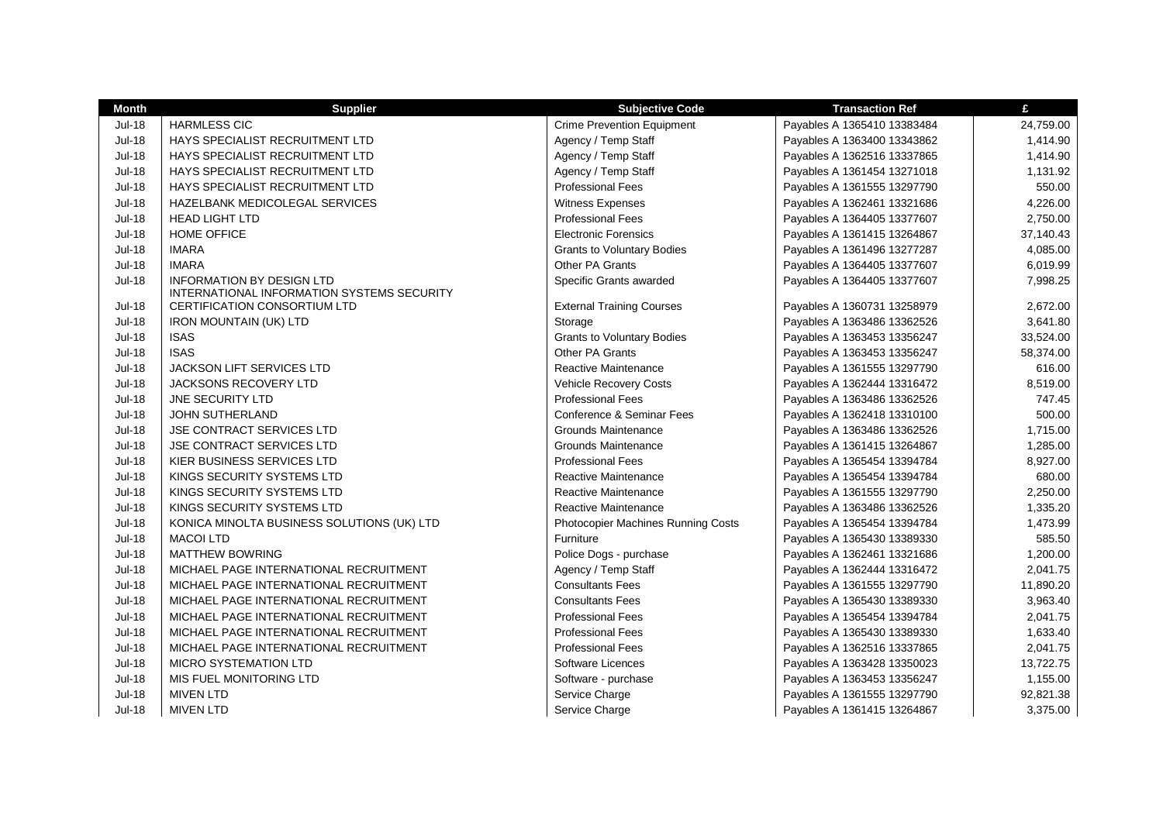| Month         | <b>Supplier</b>                                                                | <b>Subjective Code</b>             | <b>Transaction Ref</b>      | £         |
|---------------|--------------------------------------------------------------------------------|------------------------------------|-----------------------------|-----------|
| <b>Jul-18</b> | <b>HARMLESS CIC</b>                                                            | <b>Crime Prevention Equipment</b>  | Payables A 1365410 13383484 | 24,759.00 |
| <b>Jul-18</b> | HAYS SPECIALIST RECRUITMENT LTD                                                | Agency / Temp Staff                | Payables A 1363400 13343862 | 1,414.90  |
| <b>Jul-18</b> | HAYS SPECIALIST RECRUITMENT LTD                                                | Agency / Temp Staff                | Payables A 1362516 13337865 | 1,414.90  |
| <b>Jul-18</b> | HAYS SPECIALIST RECRUITMENT LTD                                                | Agency / Temp Staff                | Payables A 1361454 13271018 | 1,131.92  |
| <b>Jul-18</b> | <b>HAYS SPECIALIST RECRUITMENT LTD</b>                                         | <b>Professional Fees</b>           | Payables A 1361555 13297790 | 550.00    |
| <b>Jul-18</b> | HAZELBANK MEDICOLEGAL SERVICES                                                 | <b>Witness Expenses</b>            | Payables A 1362461 13321686 | 4,226.00  |
| <b>Jul-18</b> | <b>HEAD LIGHT LTD</b>                                                          | <b>Professional Fees</b>           | Payables A 1364405 13377607 | 2,750.00  |
| <b>Jul-18</b> | <b>HOME OFFICE</b>                                                             | <b>Electronic Forensics</b>        | Payables A 1361415 13264867 | 37,140.43 |
| <b>Jul-18</b> | <b>IMARA</b>                                                                   | <b>Grants to Voluntary Bodies</b>  | Payables A 1361496 13277287 | 4,085.00  |
| <b>Jul-18</b> | <b>IMARA</b>                                                                   | Other PA Grants                    | Payables A 1364405 13377607 | 6,019.99  |
| <b>Jul-18</b> | <b>INFORMATION BY DESIGN LTD</b><br>INTERNATIONAL INFORMATION SYSTEMS SECURITY | Specific Grants awarded            | Payables A 1364405 13377607 | 7,998.25  |
| <b>Jul-18</b> | CERTIFICATION CONSORTIUM LTD                                                   | <b>External Training Courses</b>   | Payables A 1360731 13258979 | 2,672.00  |
| <b>Jul-18</b> | <b>IRON MOUNTAIN (UK) LTD</b>                                                  | Storage                            | Payables A 1363486 13362526 | 3,641.80  |
| <b>Jul-18</b> | <b>ISAS</b>                                                                    | <b>Grants to Voluntary Bodies</b>  | Payables A 1363453 13356247 | 33,524.00 |
| <b>Jul-18</b> | <b>ISAS</b>                                                                    | Other PA Grants                    | Payables A 1363453 13356247 | 58,374.00 |
| <b>Jul-18</b> | JACKSON LIFT SERVICES LTD                                                      | Reactive Maintenance               | Payables A 1361555 13297790 | 616.00    |
| <b>Jul-18</b> | JACKSONS RECOVERY LTD                                                          | <b>Vehicle Recovery Costs</b>      | Payables A 1362444 13316472 | 8,519.00  |
| <b>Jul-18</b> | <b>JNE SECURITY LTD</b>                                                        | <b>Professional Fees</b>           | Payables A 1363486 13362526 | 747.45    |
| <b>Jul-18</b> | <b>JOHN SUTHERLAND</b>                                                         | Conference & Seminar Fees          | Payables A 1362418 13310100 | 500.00    |
| <b>Jul-18</b> | <b>JSE CONTRACT SERVICES LTD</b>                                               | <b>Grounds Maintenance</b>         | Payables A 1363486 13362526 | 1,715.00  |
| <b>Jul-18</b> | JSE CONTRACT SERVICES LTD                                                      | Grounds Maintenance                | Payables A 1361415 13264867 | 1,285.00  |
| <b>Jul-18</b> | KIER BUSINESS SERVICES LTD                                                     | <b>Professional Fees</b>           | Payables A 1365454 13394784 | 8,927.00  |
| <b>Jul-18</b> | KINGS SECURITY SYSTEMS LTD                                                     | Reactive Maintenance               | Payables A 1365454 13394784 | 680.00    |
| <b>Jul-18</b> | KINGS SECURITY SYSTEMS LTD                                                     | <b>Reactive Maintenance</b>        | Payables A 1361555 13297790 | 2,250.00  |
| <b>Jul-18</b> | KINGS SECURITY SYSTEMS LTD                                                     | Reactive Maintenance               | Payables A 1363486 13362526 | 1,335.20  |
| <b>Jul-18</b> | KONICA MINOLTA BUSINESS SOLUTIONS (UK) LTD                                     | Photocopier Machines Running Costs | Payables A 1365454 13394784 | 1,473.99  |
| <b>Jul-18</b> | <b>MACOI LTD</b>                                                               | Furniture                          | Payables A 1365430 13389330 | 585.50    |
| <b>Jul-18</b> | <b>MATTHEW BOWRING</b>                                                         | Police Dogs - purchase             | Payables A 1362461 13321686 | 1,200.00  |
| <b>Jul-18</b> | MICHAEL PAGE INTERNATIONAL RECRUITMENT                                         | Agency / Temp Staff                | Payables A 1362444 13316472 | 2,041.75  |
| <b>Jul-18</b> | MICHAEL PAGE INTERNATIONAL RECRUITMENT                                         | <b>Consultants Fees</b>            | Payables A 1361555 13297790 | 11,890.20 |
| <b>Jul-18</b> | MICHAEL PAGE INTERNATIONAL RECRUITMENT                                         | <b>Consultants Fees</b>            | Payables A 1365430 13389330 | 3,963.40  |
| <b>Jul-18</b> | MICHAEL PAGE INTERNATIONAL RECRUITMENT                                         | <b>Professional Fees</b>           | Payables A 1365454 13394784 | 2,041.75  |
| <b>Jul-18</b> | MICHAEL PAGE INTERNATIONAL RECRUITMENT                                         | <b>Professional Fees</b>           | Payables A 1365430 13389330 | 1,633.40  |
| <b>Jul-18</b> | MICHAEL PAGE INTERNATIONAL RECRUITMENT                                         | <b>Professional Fees</b>           | Payables A 1362516 13337865 | 2,041.75  |
| <b>Jul-18</b> | <b>MICRO SYSTEMATION LTD</b>                                                   | Software Licences                  | Payables A 1363428 13350023 | 13,722.75 |
| <b>Jul-18</b> | MIS FUEL MONITORING LTD                                                        | Software - purchase                | Payables A 1363453 13356247 | 1,155.00  |
| <b>Jul-18</b> | <b>MIVEN LTD</b>                                                               | Service Charge                     | Payables A 1361555 13297790 | 92,821.38 |
| <b>Jul-18</b> | <b>MIVEN LTD</b>                                                               | Service Charge                     | Payables A 1361415 13264867 | 3,375.00  |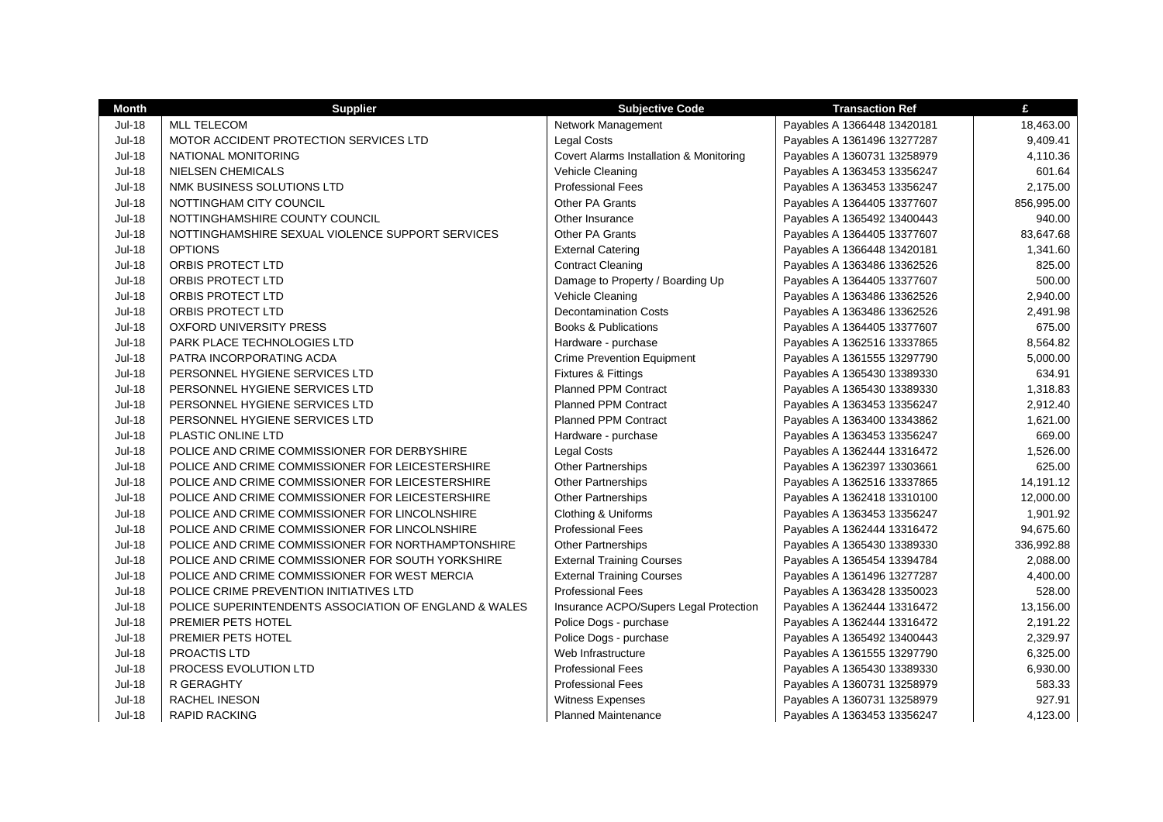| <b>Month</b>  | <b>Supplier</b>                                       | <b>Subjective Code</b>                  | <b>Transaction Ref</b>      | £          |
|---------------|-------------------------------------------------------|-----------------------------------------|-----------------------------|------------|
| Jul-18        | <b>MLL TELECOM</b>                                    | Network Management                      | Payables A 1366448 13420181 | 18,463.00  |
| <b>Jul-18</b> | MOTOR ACCIDENT PROTECTION SERVICES LTD                | <b>Legal Costs</b>                      | Payables A 1361496 13277287 | 9,409.41   |
| <b>Jul-18</b> | NATIONAL MONITORING                                   | Covert Alarms Installation & Monitoring | Payables A 1360731 13258979 | 4,110.36   |
| <b>Jul-18</b> | <b>NIELSEN CHEMICALS</b>                              | Vehicle Cleaning                        | Payables A 1363453 13356247 | 601.64     |
| <b>Jul-18</b> | NMK BUSINESS SOLUTIONS LTD                            | <b>Professional Fees</b>                | Payables A 1363453 13356247 | 2,175.00   |
| <b>Jul-18</b> | NOTTINGHAM CITY COUNCIL                               | <b>Other PA Grants</b>                  | Payables A 1364405 13377607 | 856,995.00 |
| <b>Jul-18</b> | NOTTINGHAMSHIRE COUNTY COUNCIL                        | Other Insurance                         | Payables A 1365492 13400443 | 940.00     |
| <b>Jul-18</b> | NOTTINGHAMSHIRE SEXUAL VIOLENCE SUPPORT SERVICES      | <b>Other PA Grants</b>                  | Payables A 1364405 13377607 | 83,647.68  |
| <b>Jul-18</b> | <b>OPTIONS</b>                                        | <b>External Catering</b>                | Payables A 1366448 13420181 | 1,341.60   |
| <b>Jul-18</b> | ORBIS PROTECT LTD                                     | <b>Contract Cleaning</b>                | Payables A 1363486 13362526 | 825.00     |
| <b>Jul-18</b> | ORBIS PROTECT LTD                                     | Damage to Property / Boarding Up        | Payables A 1364405 13377607 | 500.00     |
| <b>Jul-18</b> | <b>ORBIS PROTECT LTD</b>                              | Vehicle Cleaning                        | Payables A 1363486 13362526 | 2,940.00   |
| <b>Jul-18</b> | ORBIS PROTECT LTD                                     | <b>Decontamination Costs</b>            | Payables A 1363486 13362526 | 2,491.98   |
| <b>Jul-18</b> | <b>OXFORD UNIVERSITY PRESS</b>                        | <b>Books &amp; Publications</b>         | Payables A 1364405 13377607 | 675.00     |
| <b>Jul-18</b> | PARK PLACE TECHNOLOGIES LTD                           | Hardware - purchase                     | Payables A 1362516 13337865 | 8,564.82   |
| <b>Jul-18</b> | PATRA INCORPORATING ACDA                              | <b>Crime Prevention Equipment</b>       | Payables A 1361555 13297790 | 5,000.00   |
| <b>Jul-18</b> | PERSONNEL HYGIENE SERVICES LTD                        | Fixtures & Fittings                     | Payables A 1365430 13389330 | 634.91     |
| <b>Jul-18</b> | PERSONNEL HYGIENE SERVICES LTD                        | <b>Planned PPM Contract</b>             | Payables A 1365430 13389330 | 1,318.83   |
| <b>Jul-18</b> | PERSONNEL HYGIENE SERVICES LTD                        | <b>Planned PPM Contract</b>             | Payables A 1363453 13356247 | 2,912.40   |
| <b>Jul-18</b> | PERSONNEL HYGIENE SERVICES LTD                        | <b>Planned PPM Contract</b>             | Payables A 1363400 13343862 | 1,621.00   |
| <b>Jul-18</b> | PLASTIC ONLINE LTD                                    | Hardware - purchase                     | Payables A 1363453 13356247 | 669.00     |
| <b>Jul-18</b> | POLICE AND CRIME COMMISSIONER FOR DERBYSHIRE          | <b>Legal Costs</b>                      | Payables A 1362444 13316472 | 1,526.00   |
| <b>Jul-18</b> | POLICE AND CRIME COMMISSIONER FOR LEICESTERSHIRE      | <b>Other Partnerships</b>               | Payables A 1362397 13303661 | 625.00     |
| <b>Jul-18</b> | POLICE AND CRIME COMMISSIONER FOR LEICESTERSHIRE      | <b>Other Partnerships</b>               | Payables A 1362516 13337865 | 14,191.12  |
| <b>Jul-18</b> | POLICE AND CRIME COMMISSIONER FOR LEICESTERSHIRE      | <b>Other Partnerships</b>               | Payables A 1362418 13310100 | 12,000.00  |
| <b>Jul-18</b> | POLICE AND CRIME COMMISSIONER FOR LINCOLNSHIRE        | Clothing & Uniforms                     | Payables A 1363453 13356247 | 1,901.92   |
| <b>Jul-18</b> | POLICE AND CRIME COMMISSIONER FOR LINCOLNSHIRE        | <b>Professional Fees</b>                | Payables A 1362444 13316472 | 94,675.60  |
| <b>Jul-18</b> | POLICE AND CRIME COMMISSIONER FOR NORTHAMPTONSHIRE    | Other Partnerships                      | Payables A 1365430 13389330 | 336,992.88 |
| <b>Jul-18</b> | POLICE AND CRIME COMMISSIONER FOR SOUTH YORKSHIRE     | <b>External Training Courses</b>        | Payables A 1365454 13394784 | 2,088.00   |
| <b>Jul-18</b> | POLICE AND CRIME COMMISSIONER FOR WEST MERCIA         | <b>External Training Courses</b>        | Payables A 1361496 13277287 | 4,400.00   |
| <b>Jul-18</b> | POLICE CRIME PREVENTION INITIATIVES LTD               | <b>Professional Fees</b>                | Payables A 1363428 13350023 | 528.00     |
| <b>Jul-18</b> | POLICE SUPERINTENDENTS ASSOCIATION OF ENGLAND & WALES | Insurance ACPO/Supers Legal Protection  | Payables A 1362444 13316472 | 13,156.00  |
| <b>Jul-18</b> | PREMIER PETS HOTEL                                    | Police Dogs - purchase                  | Payables A 1362444 13316472 | 2,191.22   |
| <b>Jul-18</b> | PREMIER PETS HOTEL                                    | Police Dogs - purchase                  | Payables A 1365492 13400443 | 2,329.97   |
| <b>Jul-18</b> | PROACTIS LTD                                          | Web Infrastructure                      | Payables A 1361555 13297790 | 6,325.00   |
| <b>Jul-18</b> | <b>PROCESS EVOLUTION LTD</b>                          | <b>Professional Fees</b>                | Payables A 1365430 13389330 | 6,930.00   |
| <b>Jul-18</b> | R GERAGHTY                                            | <b>Professional Fees</b>                | Payables A 1360731 13258979 | 583.33     |
| <b>Jul-18</b> | RACHEL INESON                                         | <b>Witness Expenses</b>                 | Payables A 1360731 13258979 | 927.91     |
| <b>Jul-18</b> | <b>RAPID RACKING</b>                                  | <b>Planned Maintenance</b>              | Payables A 1363453 13356247 | 4.123.00   |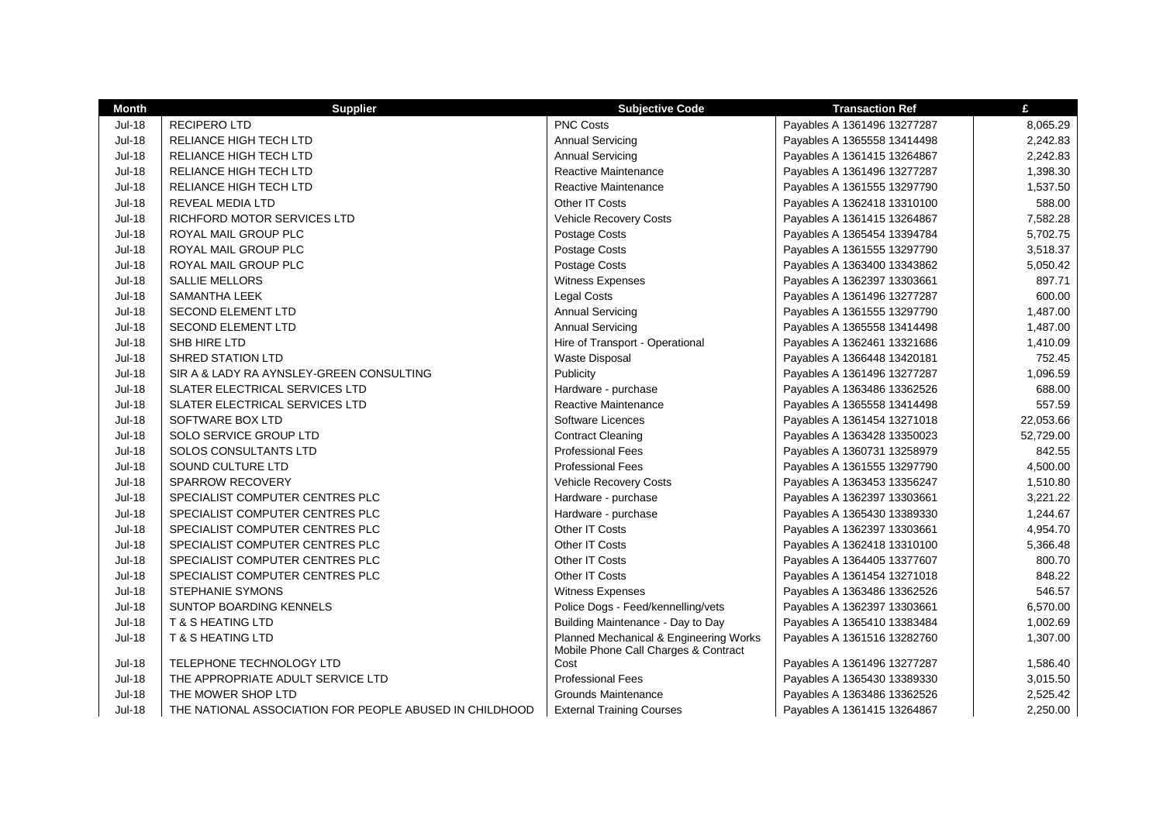| <b>Month</b>  | <b>Supplier</b>                                         | <b>Subjective Code</b>                                                         | <b>Transaction Ref</b>      | £         |
|---------------|---------------------------------------------------------|--------------------------------------------------------------------------------|-----------------------------|-----------|
| <b>Jul-18</b> | <b>RECIPERO LTD</b>                                     | <b>PNC Costs</b>                                                               | Payables A 1361496 13277287 | 8,065.29  |
| <b>Jul-18</b> | RELIANCE HIGH TECH LTD                                  | <b>Annual Servicing</b>                                                        | Payables A 1365558 13414498 | 2,242.83  |
| <b>Jul-18</b> | RELIANCE HIGH TECH LTD                                  | <b>Annual Servicing</b>                                                        | Payables A 1361415 13264867 | 2,242.83  |
| <b>Jul-18</b> | RELIANCE HIGH TECH LTD                                  | Reactive Maintenance                                                           | Payables A 1361496 13277287 | 1,398.30  |
| <b>Jul-18</b> | RELIANCE HIGH TECH LTD                                  | Reactive Maintenance                                                           | Payables A 1361555 13297790 | 1,537.50  |
| <b>Jul-18</b> | REVEAL MEDIA LTD                                        | Other IT Costs                                                                 | Payables A 1362418 13310100 | 588.00    |
| <b>Jul-18</b> | RICHFORD MOTOR SERVICES LTD                             | <b>Vehicle Recovery Costs</b>                                                  | Payables A 1361415 13264867 | 7,582.28  |
| <b>Jul-18</b> | ROYAL MAIL GROUP PLC                                    | Postage Costs                                                                  | Payables A 1365454 13394784 | 5,702.75  |
| <b>Jul-18</b> | ROYAL MAIL GROUP PLC                                    | Postage Costs                                                                  | Payables A 1361555 13297790 | 3,518.37  |
| <b>Jul-18</b> | ROYAL MAIL GROUP PLC                                    | Postage Costs                                                                  | Payables A 1363400 13343862 | 5,050.42  |
| <b>Jul-18</b> | <b>SALLIE MELLORS</b>                                   | <b>Witness Expenses</b>                                                        | Payables A 1362397 13303661 | 897.71    |
| <b>Jul-18</b> | SAMANTHA LEEK                                           | <b>Legal Costs</b>                                                             | Payables A 1361496 13277287 | 600.00    |
| <b>Jul-18</b> | <b>SECOND ELEMENT LTD</b>                               | <b>Annual Servicing</b>                                                        | Payables A 1361555 13297790 | 1,487.00  |
| <b>Jul-18</b> | <b>SECOND ELEMENT LTD</b>                               | <b>Annual Servicing</b>                                                        | Payables A 1365558 13414498 | 1,487.00  |
| <b>Jul-18</b> | SHB HIRE LTD                                            | Hire of Transport - Operational                                                | Payables A 1362461 13321686 | 1,410.09  |
| <b>Jul-18</b> | <b>SHRED STATION LTD</b>                                | Waste Disposal                                                                 | Payables A 1366448 13420181 | 752.45    |
| <b>Jul-18</b> | SIR A & LADY RA AYNSLEY-GREEN CONSULTING                | Publicity                                                                      | Payables A 1361496 13277287 | 1,096.59  |
| <b>Jul-18</b> | <b>SLATER ELECTRICAL SERVICES LTD</b>                   | Hardware - purchase                                                            | Payables A 1363486 13362526 | 688.00    |
| <b>Jul-18</b> | SLATER ELECTRICAL SERVICES LTD                          | Reactive Maintenance                                                           | Payables A 1365558 13414498 | 557.59    |
| <b>Jul-18</b> | SOFTWARE BOX LTD                                        | Software Licences                                                              | Payables A 1361454 13271018 | 22,053.66 |
| <b>Jul-18</b> | SOLO SERVICE GROUP LTD                                  | <b>Contract Cleaning</b>                                                       | Payables A 1363428 13350023 | 52,729.00 |
| <b>Jul-18</b> | SOLOS CONSULTANTS LTD                                   | <b>Professional Fees</b>                                                       | Payables A 1360731 13258979 | 842.55    |
| <b>Jul-18</b> | SOUND CULTURE LTD                                       | <b>Professional Fees</b>                                                       | Payables A 1361555 13297790 | 4,500.00  |
| <b>Jul-18</b> | SPARROW RECOVERY                                        | <b>Vehicle Recovery Costs</b>                                                  | Payables A 1363453 13356247 | 1,510.80  |
| <b>Jul-18</b> | SPECIALIST COMPUTER CENTRES PLC                         | Hardware - purchase                                                            | Payables A 1362397 13303661 | 3,221.22  |
| <b>Jul-18</b> | SPECIALIST COMPUTER CENTRES PLC                         | Hardware - purchase                                                            | Payables A 1365430 13389330 | 1,244.67  |
| <b>Jul-18</b> | SPECIALIST COMPUTER CENTRES PLC                         | Other IT Costs                                                                 | Payables A 1362397 13303661 | 4,954.70  |
| <b>Jul-18</b> | SPECIALIST COMPUTER CENTRES PLC                         | Other IT Costs                                                                 | Payables A 1362418 13310100 | 5,366.48  |
| <b>Jul-18</b> | SPECIALIST COMPUTER CENTRES PLC                         | Other IT Costs                                                                 | Payables A 1364405 13377607 | 800.70    |
| <b>Jul-18</b> | SPECIALIST COMPUTER CENTRES PLC                         | Other IT Costs                                                                 | Payables A 1361454 13271018 | 848.22    |
| <b>Jul-18</b> | STEPHANIE SYMONS                                        | <b>Witness Expenses</b>                                                        | Payables A 1363486 13362526 | 546.57    |
| <b>Jul-18</b> | SUNTOP BOARDING KENNELS                                 | Police Dogs - Feed/kennelling/vets                                             | Payables A 1362397 13303661 | 6,570.00  |
| <b>Jul-18</b> | <b>T &amp; S HEATING LTD</b>                            | Building Maintenance - Day to Day                                              | Payables A 1365410 13383484 | 1,002.69  |
| <b>Jul-18</b> | <b>T &amp; S HEATING LTD</b>                            | Planned Mechanical & Engineering Works<br>Mobile Phone Call Charges & Contract | Payables A 1361516 13282760 | 1,307.00  |
| <b>Jul-18</b> | TELEPHONE TECHNOLOGY LTD                                | Cost                                                                           | Payables A 1361496 13277287 | 1,586.40  |
| <b>Jul-18</b> | THE APPROPRIATE ADULT SERVICE LTD                       | <b>Professional Fees</b>                                                       | Payables A 1365430 13389330 | 3,015.50  |
| <b>Jul-18</b> | THE MOWER SHOP LTD                                      | Grounds Maintenance                                                            | Payables A 1363486 13362526 | 2,525.42  |
| <b>Jul-18</b> | THE NATIONAL ASSOCIATION FOR PEOPLE ABUSED IN CHILDHOOD | <b>External Training Courses</b>                                               | Payables A 1361415 13264867 | 2,250.00  |